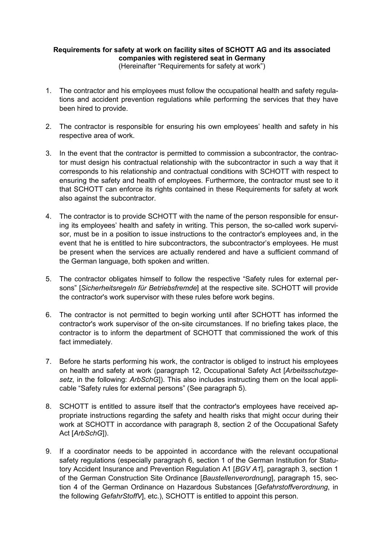## **Requirements for safety at work on facility sites of SCHOTT AG and its associated companies with registered seat in Germany**

(Hereinafter "Requirements for safety at work")

- 1. The contractor and his employees must follow the occupational health and safety regulations and accident prevention regulations while performing the services that they have been hired to provide.
- 2. The contractor is responsible for ensuring his own employees' health and safety in his respective area of work.
- 3. In the event that the contractor is permitted to commission a subcontractor, the contractor must design his contractual relationship with the subcontractor in such a way that it corresponds to his relationship and contractual conditions with SCHOTT with respect to ensuring the safety and health of employees. Furthermore, the contractor must see to it that SCHOTT can enforce its rights contained in these Requirements for safety at work also against the subcontractor.
- 4. The contractor is to provide SCHOTT with the name of the person responsible for ensuring its employees' health and safety in writing. This person, the so-called work supervisor, must be in a position to issue instructions to the contractor's employees and, in the event that he is entitled to hire subcontractors, the subcontractor's employees. He must be present when the services are actually rendered and have a sufficient command of the German language, both spoken and written.
- 5. The contractor obligates himself to follow the respective "Safety rules for external persons" [*Sicherheitsregeln für Betriebsfremde*] at the respective site. SCHOTT will provide the contractor's work supervisor with these rules before work begins.
- 6. The contractor is not permitted to begin working until after SCHOTT has informed the contractor's work supervisor of the on-site circumstances. If no briefing takes place, the contractor is to inform the department of SCHOTT that commissioned the work of this fact immediately.
- 7. Before he starts performing his work, the contractor is obliged to instruct his employees on health and safety at work (paragraph 12, Occupational Safety Act [*Arbeitsschutzgesetz*, in the following: *ArbSchG*]). This also includes instructing them on the local applicable "Safety rules for external persons" (See paragraph 5).
- 8. SCHOTT is entitled to assure itself that the contractor's employees have received appropriate instructions regarding the safety and health risks that might occur during their work at SCHOTT in accordance with paragraph 8, section 2 of the Occupational Safety Act [*ArbSchG*]).
- 9. If a coordinator needs to be appointed in accordance with the relevant occupational safety regulations (especially paragraph 6, section 1 of the German Institution for Statutory Accident Insurance and Prevention Regulation A1 [*BGV A1*], paragraph 3, section 1 of the German Construction Site Ordinance [*Baustellenverordnung*], paragraph 15, section 4 of the German Ordinance on Hazardous Substances [*Gefahrstoffverordnung*, in the following *GefahrStoffV*], etc.), SCHOTT is entitled to appoint this person.